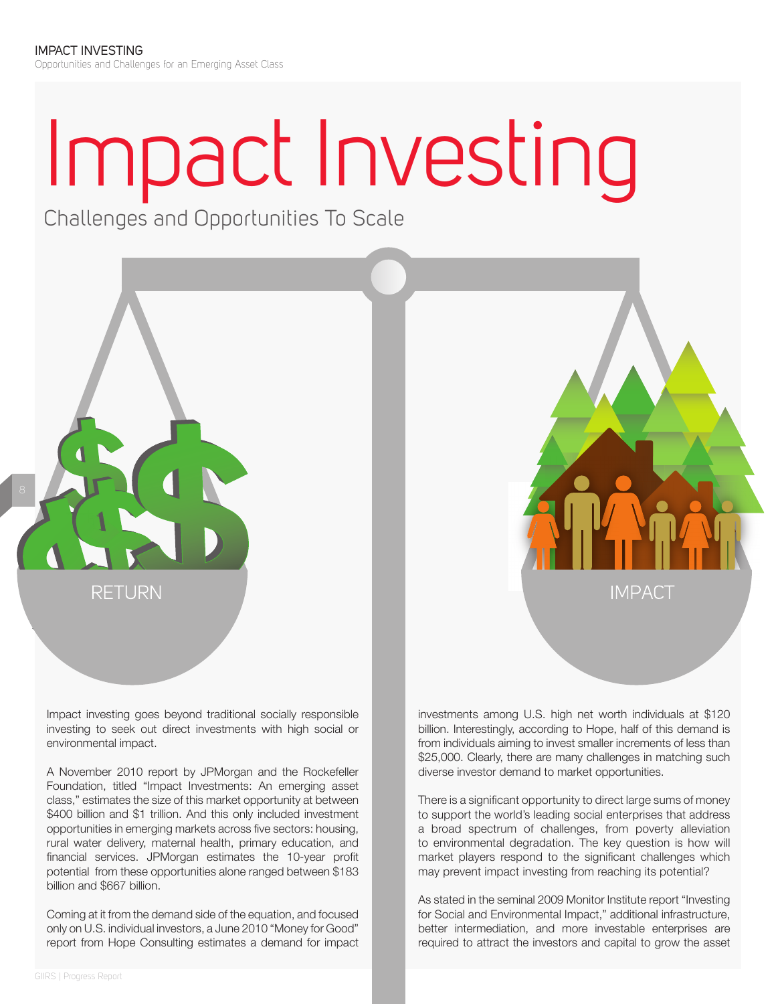## Impact Investing

Challenges and Opportunities To Scale

Impact investing goes beyond traditional socially responsible investing to seek out direct investments with high social or environmental impact.

RETURN

A November 2010 report by JPMorgan and the Rockefeller Foundation, titled "Impact Investments: An emerging asset class," estimates the size of this market opportunity at between \$400 billion and \$1 trillion. And this only included investment opportunities in emerging markets across five sectors: housing, rural water delivery, maternal health, primary education, and financial services. JPMorgan estimates the 10-year profit potential from these opportunities alone ranged between \$183 billion and \$667 billion.

Coming at it from the demand side of the equation, and focused only on U.S. individual investors, a June 2010 "Money for Good" report from Hope Consulting estimates a demand for impact

investments among U.S. high net worth individuals at \$120 billion. Interestingly, according to Hope, half of this demand is from individuals aiming to invest smaller increments of less than \$25,000. Clearly, there are many challenges in matching such diverse investor demand to market opportunities.

**IMPACT** 

There is a significant opportunity to direct large sums of money to support the world's leading social enterprises that address a broad spectrum of challenges, from poverty alleviation to environmental degradation. The key question is how will market players respond to the significant challenges which may prevent impact investing from reaching its potential?

As stated in the seminal 2009 Monitor Institute report "Investing for Social and Environmental Impact," additional infrastructure, better intermediation, and more investable enterprises are required to attract the investors and capital to grow the asset